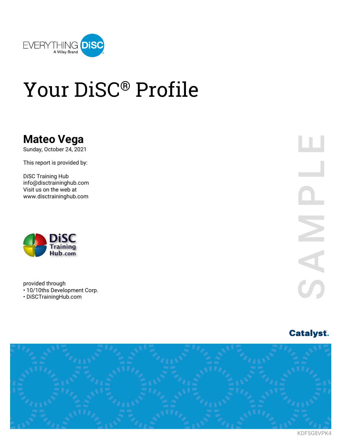

## Your DiSC® Profile

### **Mateo Vega**

Sunday, October 24, 2021

This report is provided by:

DiSC Training Hub info@disctraininghub.com Visit us on the web at www.disctraininghub.com



provided through • 10/10ths Development Corp. • DiSCTrainingHub.com

ш 

### **Catalyst.**



KDF5G8VPK4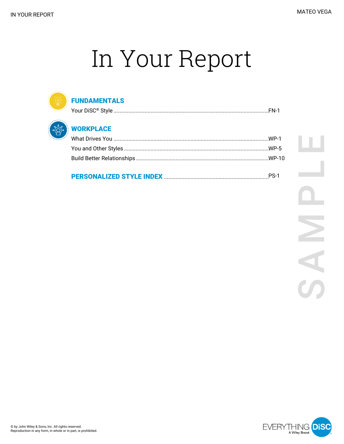# In Your Report



#### **FUNDAMENTALS**



### **WORKPLACE**

| You and Other Styles ………………………………………………………………………………………WP-5 |
|------------------------------------------------------------|
|                                                            |
|                                                            |

### 

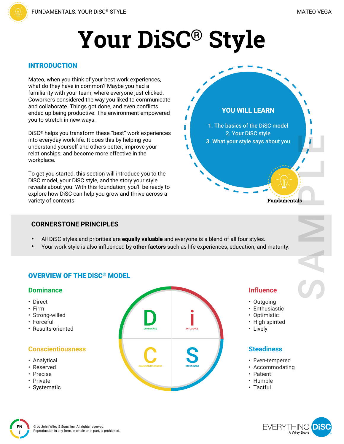# **Your DiSC® Style**

#### INTRODUCTION

Mateo, when you think of your best work experiences, what do they have in common? Maybe you had a familiarity with your team, where everyone just clicked. Coworkers considered the way you liked to communicate and collaborate. Things got done, and even conflicts ended up being productive. The environment empowered you to stretch in new ways.

DiSC® helps you transform these "best" work experiences into everyday work life. It does this by helping you understand yourself and others better, improve your relationships, and become more effective in the workplace.

To get you started, this section will introduce you to the DiSC model, your DiSC style, and the story your style reveals about you. With this foundation, you'll be ready to explore how DiSC can help you grow and thrive across a variety of contexts.

#### **CORNERSTONE PRINCIPLES**

- All DiSC styles and priorities are **equally valuable** and everyone is a blend of all four styles.
- Your work style is also influenced by **other factors** such as life experiences, education, and maturity.

### OVERVIEW OF THE DiSC® MODEL

#### **Dominance**

- Direct
- Firm
- Strong-willed
- Forceful
- Results-oriented

### **Conscientiousness**

- Analytical
- Reserved
- Precise
- Private

**FN 1**

• Systematic



#### **Influence**

**Fundamentals** 

**YOU WILL LEARN**

1. The basics of the DiSC model 2. Your DiSC style 3. What your style says about you

- Outgoing
- Enthusiastic
- Optimistic
- High-spirited
- Lively

#### **Steadiness**

- Even-tempered
- Accommodating
- Patient
- Humble
- Tactful



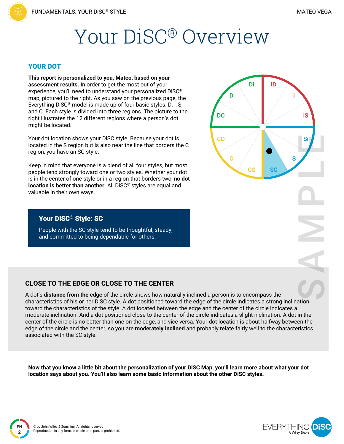## Your DiSC® Overview

#### YOUR DOT

**This report is personalized to you, Mateo, based on your assessment results.** In order to get the most out of your experience, you'll need to understand your personalized DiSC® map, pictured to the right. As you saw on the previous page, the Everything DiSC® model is made up of four basic styles: D, i, S, and C. Each style is divided into three regions. The picture to the right illustrates the 12 different regions where a person's dot might be located.

Your dot location shows your DiSC style. Because your dot is located in the S region but is also near the line that borders the C region, you have an SC style.

Keep in mind that everyone is a blend of all four styles, but most people tend strongly toward one or two styles. Whether your dot is in the center of one style or in a region that borders two, **no dot location is better than another.** All DiSC® styles are equal and valuable in their own ways.

### Di iD D **DC** iS **CD** Si S C **CS** SC

#### Your DiSC® Style: SC

People with the SC style tend to be thoughtful, steady, and committed to being dependable for others.

#### **CLOSE TO THE EDGE OR CLOSE TO THE CENTER**

A dot's **distance from the edge** of the circle shows how naturally inclined a person is to encompass the characteristics of his or her DiSC style. A dot positioned toward the edge of the circle indicates a strong inclination toward the characteristics of the style. A dot located between the edge and the center of the circle indicates a moderate inclination. And a dot positioned close to the center of the circle indicates a slight inclination. A dot in the center of the circle is no better than one on the edge, and vice versa. Your dot location is about halfway between the edge of the circle and the center, so you are **moderately inclined** and probably relate fairly well to the characteristics associated with the SC style.

Now that you know a little bit about the personalization of your DiSC Map, you'll learn more about what your dot **location says about you. You'll also learn some basic information about the other DiSC styles.**

**FN 2**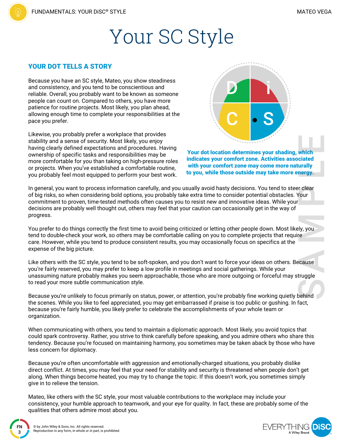### Your SC Style

#### YOUR DOT TELLS A STORY

Because you have an SC style, Mateo, you show steadiness and consistency, and you tend to be conscientious and reliable. Overall, you probably want to be known as someone people can count on. Compared to others, you have more patience for routine projects. Most likely, you plan ahead, allowing enough time to complete your responsibilities at the pace you prefer.

Likewise, you probably prefer a workplace that provides stability and a sense of security. Most likely, you enjoy having clearly defined expectations and procedures. Having ownership of specific tasks and responsibilities may be more comfortable for you than taking on high-pressure roles or projects. When you've established a comfortable routine, you probably feel most equipped to perform your best work.



Your dot location determines your shading, which indicates your comfort zone. Activities associated with your comfort zone may come more naturally to you, while those outside may take more energy.

In general, you want to process information carefully, and you usually avoid hasty decisions. You tend to steer clear of big risks, so when considering bold options, you probably take extra time to consider potential obstacles. Your commitment to proven, time-tested methods often causes you to resist new and innovative ideas. While your decisions are probably well thought out, others may feel that your caution can occasionally get in the way of progress.

You prefer to do things correctly the first time to avoid being criticized or letting other people down. Most likely, you tend to double-check your work, so others may be comfortable calling on you to complete projects that require care. However, while you tend to produce consistent results, you may occasionally focus on specifics at the expense of the big picture.

Like others with the SC style, you tend to be soft-spoken, and you don't want to force your ideas on others. Because you're fairly reserved, you may prefer to keep a low profile in meetings and social gatherings. While your unassuming nature probably makes you seem approachable, those who are more outgoing or forceful may struggle to read your more subtle communication style.

Because you're unlikely to focus primarily on status, power, or attention, you're probably fine working quietly behind the scenes. While you like to feel appreciated, you may get embarrassed if praise is too public or gushing. In fact, because you're fairly humble, you likely prefer to celebrate the accomplishments of your whole team or organization.

When communicating with others, you tend to maintain a diplomatic approach. Most likely, you avoid topics that could spark controversy. Rather, you strive to think carefully before speaking, and you admire others who share this tendency. Because you're focused on maintaining harmony, you sometimes may be taken aback by those who have less concern for diplomacy.

Because you're often uncomfortable with aggression and emotionally-charged situations, you probably dislike direct conflict. At times, you may feel that your need for stability and security is threatened when people don't get along. When things become heated, you may try to change the topic. If this doesn't work, you sometimes simply give in to relieve the tension.

Mateo, like others with the SC style, your most valuable contributions to the workplace may include your consistency, your humble approach to teamwork, and your eye for quality. In fact, these are probably some of the qualities that others admire most about you.



**FN 3**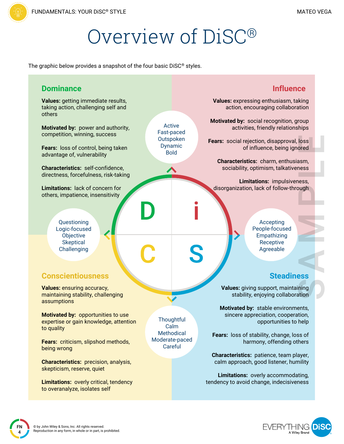## Overview of DiSC®

The graphic below provides a snapshot of the four basic DiSC® styles.

| <b>Dominance</b>                                                                           | <b>Influence</b>                                                                                                                                                                          |
|--------------------------------------------------------------------------------------------|-------------------------------------------------------------------------------------------------------------------------------------------------------------------------------------------|
| Values: getting immediate results,<br>taking action, challenging self and<br>others        | Values: expressing enthusiasm, taking<br>action, encouraging collaboration                                                                                                                |
| Motivated by: power and authority,<br>competition, winning, success                        | Motivated by: social recognition, group<br>Active<br>activities, friendly relationships<br>Fast-paced<br>Outspoken<br>Fears: social rejection, disapproval, loss                          |
| Fears: loss of control, being taken<br>advantage of, vulnerability                         | Dynamic<br>of influence, being ignored<br><b>Bold</b>                                                                                                                                     |
| Characteristics: self-confidence,<br>directness, forcefulness, risk-taking                 | Characteristics: charm, enthusiasm,<br>sociability, optimism, talkativeness                                                                                                               |
| Limitations: lack of concern for<br>others, impatience, insensitivity                      | Limitations: impulsiveness,<br>disorganization, lack of follow-through                                                                                                                    |
| Questioning<br>Logic-focused<br>Objective<br><b>Skeptical</b><br>Challenging               | Accepting<br>People-focused<br>Empathizing<br>Receptive<br>S<br>Agreeable                                                                                                                 |
| <b>Conscientiousness</b>                                                                   | <b>Steadiness</b>                                                                                                                                                                         |
| <b>Values: ensuring accuracy,</b><br>maintaining stability, challenging<br>assumptions     | Values: giving support, maintaining<br>stability, enjoying collaboration                                                                                                                  |
| Motivated by: opportunities to use<br>expertise or gain knowledge, attention<br>to quality | Motivated by: stable environments,<br>sincere appreciation, cooperation,<br>Thoughtful<br>opportunities to help<br>Calm<br><b>Methodical</b><br>Fears: loss of stability, change, loss of |
| Fears: criticism, slipshod methods,<br>being wrong                                         | Moderate-paced<br>harmony, offending others<br>Careful                                                                                                                                    |
| <b>Characteristics:</b> precision, analysis,<br>skepticism, reserve, quiet                 | Characteristics: patience, team player,<br>calm approach, good listener, humility                                                                                                         |
| <b>Limitations: overly critical, tendency</b><br>to overanalyze, isolates self             | Limitations: overly accommodating,<br>tendency to avoid change, indecisiveness                                                                                                            |



**FN 4**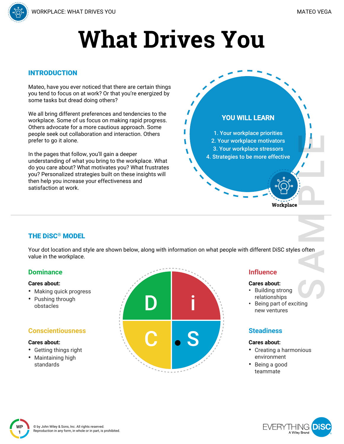

#### INTRODUCTION

Mateo, have you ever noticed that there are certain things you tend to focus on at work? Or that you're energized by some tasks but dread doing others?

We all bring different preferences and tendencies to the workplace. Some of us focus on making rapid progress. Others advocate for a more cautious approach. Some people seek out collaboration and interaction. Others prefer to go it alone.

In the pages that follow, you'll gain a deeper understanding of what you bring to the workplace. What do you care about? What motivates you? What frustrates you? Personalized strategies built on these insights will then help you increase your effectiveness and satisfaction at work.



#### THE DiSC® MODEL

Your dot location and style are shown below, along with information on what people with different DiSC styles often value in the workplace.

#### **Dominance**

#### **Cares about:**

- Making quick progress
- Pushing through obstacles

#### **Conscientiousness**

#### **Cares about:**

**WP 1**

- Getting things right
- Maintaining high standards



#### **Influence**

#### **Cares about:**

- Building strong relationships
- Being part of exciting new ventures

#### **Steadiness**

#### **Cares about:**

- Creating a harmonious environment
- Being a good teammate

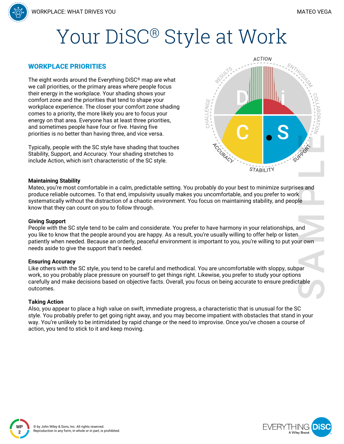## Your DiSC<sup>®</sup> Style at Work

#### WORKPLACE PRIORITIES

The eight words around the Everything DiSC® map are what we call priorities, or the primary areas where people focus their energy in the workplace. Your shading shows your comfort zone and the priorities that tend to shape your workplace experience. The closer your comfort zone shading comes to a priority, the more likely you are to focus your energy on that area. Everyone has at least three priorities, and sometimes people have four or five. Having five priorities is no better than having three, and vice versa.

Typically, people with the SC style have shading that touches Stability, Support, and Accuracy. Your shading stretches to include Action, which isn't characteristic of the SC style.



#### **Maintaining Stability**

Mateo, you're most comfortable in a calm, predictable setting. You probably do your best to minimize surprises and produce reliable outcomes. To that end, impulsivity usually makes you uncomfortable, and you prefer to work systematically without the distraction of a chaotic environment. You focus on maintaining stability, and people know that they can count on you to follow through.

#### **Giving Support**

People with the SC style tend to be calm and considerate. You prefer to have harmony in your relationships, and you like to know that the people around you are happy. As a result, you're usually willing to offer help or listen patiently when needed. Because an orderly, peaceful environment is important to you, you're willing to put your own needs aside to give the support that's needed.

#### **Ensuring Accuracy**

Like others with the SC style, you tend to be careful and methodical. You are uncomfortable with sloppy, subpar work, so you probably place pressure on yourself to get things right. Likewise, you prefer to study your options carefully and make decisions based on objective facts. Overall, you focus on being accurate to ensure predictable outcomes.

#### **Taking Action**

**WP 2**

Also, you appear to place a high value on swift, immediate progress, a characteristic that is unusual for the SC style. You probably prefer to get going right away, and you may become impatient with obstacles that stand in your way. You're unlikely to be intimidated by rapid change or the need to improvise. Once you've chosen a course of action, you tend to stick to it and keep moving.

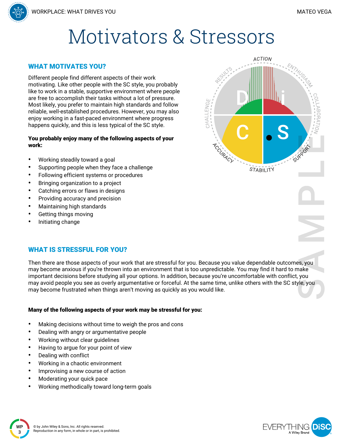

#### WHAT MOTIVATES YOU?

Different people find different aspects of their work motivating. Like other people with the SC style, you probably like to work in a stable, supportive environment where people are free to accomplish their tasks without a lot of pressure. Most likely, you prefer to maintain high standards and follow reliable, well-established procedures. However, you may also enjoy working in a fast-paced environment where progress happens quickly, and this is less typical of the SC style.

#### You probably enjoy many of the following aspects of your work:

- Working steadily toward a goal
- Supporting people when they face a challenge
- Following efficient systems or procedures
- Bringing organization to a project
- Catching errors or flaws in designs
- Providing accuracy and precision
- Maintaining high standards
- Getting things moving
- Initiating change

#### WHAT IS STRESSFUL FOR YOU?

Then there are those aspects of your work that are stressful for you. Because you value dependable outcomes, you may become anxious if you're thrown into an environment that is too unpredictable. You may find it hard to make important decisions before studying all your options. In addition, because you're uncomfortable with conflict, you may avoid people you see as overly argumentative or forceful. At the same time, unlike others with the SC style, you may become frustrated when things aren't moving as quickly as you would like.

#### Many of the following aspects of your work may be stressful for you:

- Making decisions without time to weigh the pros and cons
- Dealing with angry or argumentative people
- Working without clear guidelines
- Having to argue for your point of view
- Dealing with conflict

**3**

**2-3 WP**

- Working in a chaotic environment
- Improvising a new course of action
- Moderating your quick pace
- Working methodically toward long-term goals



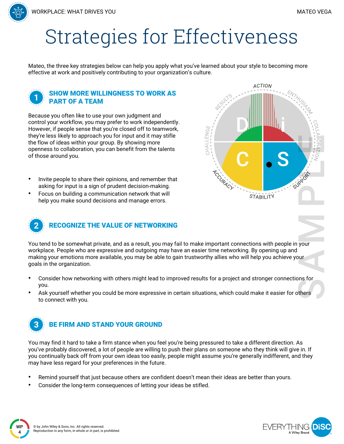## Strategies for Effectiveness

Mateo, the three key strategies below can help you apply what you've learned about your style to becoming more effective at work and positively contributing to your organization's culture.

#### SHOW MORE WILLINGNESS TO WORK AS PART OF A TEAM

Because you often like to use your own judgment and control your workflow, you may prefer to work independently. However, if people sense that you're closed off to teamwork, they're less likely to approach you for input and it may stifle the flow of ideas within your group. By showing more openness to collaboration, you can benefit from the talents of those around you.

- Invite people to share their opinions, and remember that asking for input is a sign of prudent decision-making.
- Focus on building a communication network that will help you make sound decisions and manage errors.





You tend to be somewhat private, and as a result, you may fail to make important connections with people in your workplace. People who are expressive and outgoing may have an easier time networking. By opening up and making your emotions more available, you may be able to gain trustworthy allies who will help you achieve your goals in the organization.

- Consider how networking with others might lead to improved results for a project and stronger connections for you.
- Ask yourself whether you could be more expressive in certain situations, which could make it easier for others to connect with you.



You may find it hard to take a firm stance when you feel you're being pressured to take a different direction. As you've probably discovered, a lot of people are willing to push their plans on someone who they think will give in. If you continually back off from your own ideas too easily, people might assume you're generally indifferent, and they may have less regard for your preferences in the future.

- Remind yourself that just because others are confident doesn't mean their ideas are better than yours.
- Consider the long-term consequences of letting your ideas be stifled.

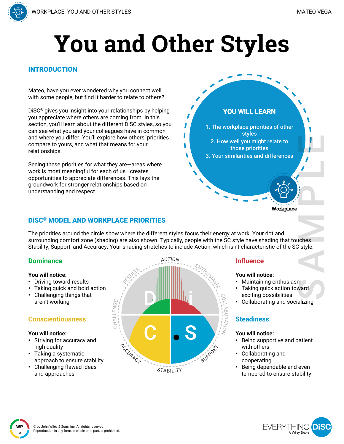

# **You and Other Styles**

ı

#### INTRODUCTION

Mateo, have you ever wondered why you connect well with some people, but find it harder to relate to others?

DiSC® gives you insight into your relationships by helping you appreciate where others are coming from. In this section, you'll learn about the different DiSC styles, so you can see what you and your colleagues have in common and where you differ. You'll explore how others' priorities compare to yours, and what that means for your relationships.

Seeing these priorities for what they are—areas where work is most meaningful for each of us—creates opportunities to appreciate differences. This lays the groundwork for stronger relationships based on understanding and respect.

#### DiSC® MODEL AND WORKPLACE PRIORITIES

The priorities around the circle show where the different styles focus their energy at work. Your dot and surrounding comfort zone (shading) are also shown. Typically, people with the SC style have shading that touches Stability, Support, and Accuracy. Your shading stretches to include Action, which isn't characteristic of the SC style.

#### **Dominance**

#### **You will notice:**

- Driving toward results
- Taking quick and bold action
- Challenging things that aren't working

#### **Conscientiousness**

#### **You will notice:**

- Striving for accuracy and high quality
- Taking a systematic approach to ensure stability
- Challenging flawed ideas and approaches



#### **Influence**

**YOU WILL LEARN**

1. The workplace priorities of other styles 2. How well you might relate to those priorities 3. Your similarities and differences

#### **You will notice:**

- Maintaining enthusiasm
- Taking quick action toward exciting possibilities
- Collaborating and socializing

Workplace

#### **Steadiness**

#### **You will notice:**

- Being supportive and patient with others
- Collaborating and cooperating
- Being dependable and eventempered to ensure stability

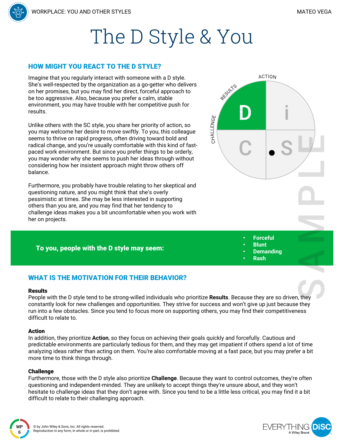

#### HOW MIGHT YOU REACT TO THE D STYLE?

Imagine that you regularly interact with someone with a D style. She's well-respected by the organization as a go-getter who delivers on her promises, but you may find her direct, forceful approach to be too aggressive. Also, because you prefer a calm, stable environment, you may have trouble with her competitive push for results.

Unlike others with the SC style, you share her priority of action, so you may welcome her desire to move swiftly. To you, this colleague seems to thrive on rapid progress, often driving toward bold and radical change, and you're usually comfortable with this kind of fastpaced work environment. But since you prefer things to be orderly, you may wonder why she seems to push her ideas through without considering how her insistent approach might throw others off balance.

Furthermore, you probably have trouble relating to her skeptical and questioning nature, and you might think that she's overly pessimistic at times. She may be less interested in supporting others than you are, and you may find that her tendency to challenge ideas makes you a bit uncomfortable when you work with her on projects.

#### To you, people with the D style may seem:



- 
- **Demanding** • **Rash**

#### WHAT IS THE MOTIVATION FOR THEIR BEHAVIOR?

#### **Results**

People with the D style tend to be strong-willed individuals who prioritize **Results**. Because they are so driven, they constantly look for new challenges and opportunities. They strive for success and won't give up just because they run into a few obstacles. Since you tend to focus more on supporting others, you may find their competitiveness difficult to relate to.

#### Action

In addition, they prioritize **Action**, so they focus on achieving their goals quickly and forcefully. Cautious and predictable environments are particularly tedious for them, and they may get impatient if others spend a lot of time analyzing ideas rather than acting on them. You're also comfortable moving at a fast pace, but you may prefer a bit more time to think things through.

#### **Challenge**

Furthermore, those with the D style also prioritize **Challenge**. Because they want to control outcomes, they're often questioning and independent-minded. They are unlikely to accept things they're unsure about, and they won't hesitate to challenge ideas that they don't agree with. Since you tend to be a little less critical, you may find it a bit difficult to relate to their challenging approach.

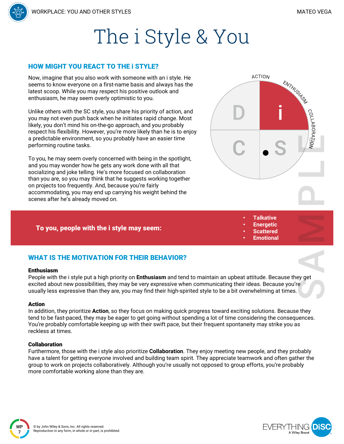

#### HOW MIGHT YOU REACT TO THE i STYLE?

Now, imagine that you also work with someone with an i style. He seems to know everyone on a first-name basis and always has the latest scoop. While you may respect his positive outlook and enthusiasm, he may seem overly optimistic to you.

Unlike others with the SC style, you share his priority of action, and you may not even push back when he initiates rapid change. Most likely, you don't mind his on-the-go approach, and you probably respect his flexibility. However, you're more likely than he is to enjoy a predictable environment, so you probably have an easier time performing routine tasks.

To you, he may seem overly concerned with being in the spotlight, and you may wonder how he gets any work done with all that socializing and joke telling. He's more focused on collaboration than you are, so you may think that he suggests working together on projects too frequently. And, because you're fairly accommodating, you may end up carrying his weight behind the scenes after he's already moved on.

#### To you, people with the i style may seem:

#### • **Talkative** • **Energetic**

- 
- **Scattered** • **Emotional**

#### WHAT IS THE MOTIVATION FOR THEIR BEHAVIOR?

#### Enthusiasm

People with the i style put a high priority on **Enthusiasm** and tend to maintain an upbeat attitude. Because they get excited about new possibilities, they may be very expressive when communicating their ideas. Because you're usually less expressive than they are, you may find their high-spirited style to be a bit overwhelming at times.

#### Action

**WP 7**

In addition, they prioritize **Action**, so they focus on making quick progress toward exciting solutions. Because they tend to be fast-paced, they may be eager to get going without spending a lot of time considering the consequences. You're probably comfortable keeping up with their swift pace, but their frequent spontaneity may strike you as reckless at times.

#### Collaboration

Furthermore, those with the i style also prioritize **Collaboration**. They enjoy meeting new people, and they probably have a talent for getting everyone involved and building team spirit. They appreciate teamwork and often gather the group to work on projects collaboratively. Although you're usually not opposed to group efforts, you're probably more comfortable working alone than they are.



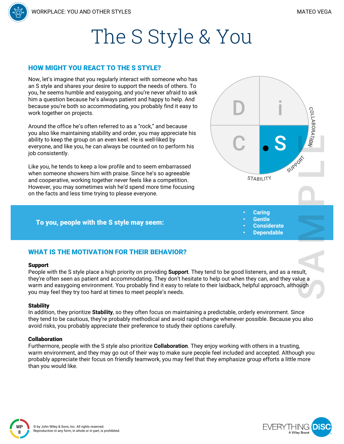COLLABORATION



#### HOW MIGHT YOU REACT TO THE S STYLE?

Now, let's imagine that you regularly interact with someone who has an S style and shares your desire to support the needs of others. To you, he seems humble and easygoing, and you're never afraid to ask him a question because he's always patient and happy to help. And because you're both so accommodating, you probably find it easy to work together on projects.

Around the office he's often referred to as a "rock," and because you also like maintaining stability and order, you may appreciate his ability to keep the group on an even keel. He is well-liked by everyone, and like you, he can always be counted on to perform his job consistently.

Like you, he tends to keep a low profile and to seem embarrassed when someone showers him with praise. Since he's so agreeable and cooperative, working together never feels like a competition. However, you may sometimes wish he'd spend more time focusing on the facts and less time trying to please everyone.

#### To you, people with the S style may seem:



- **Caring**
- **Gentle**
- **Considerate**
- **Dependable**

#### WHAT IS THE MOTIVATION FOR THEIR BEHAVIOR?

#### Support

People with the S style place a high priority on providing **Support**. They tend to be good listeners, and as a result, they're often seen as patient and accommodating. They don't hesitate to help out when they can, and they value a warm and easygoing environment. You probably find it easy to relate to their laidback, helpful approach, although you may feel they try too hard at times to meet people's needs.

#### **Stability**

In addition, they prioritize **Stability**, so they often focus on maintaining a predictable, orderly environment. Since they tend to be cautious, they're probably methodical and avoid rapid change whenever possible. Because you also avoid risks, you probably appreciate their preference to study their options carefully.

#### Collaboration

Furthermore, people with the S style also prioritize **Collaboration**. They enjoy working with others in a trusting, warm environment, and they may go out of their way to make sure people feel included and accepted. Although you probably appreciate their focus on friendly teamwork, you may feel that they emphasize group efforts a little more than you would like.



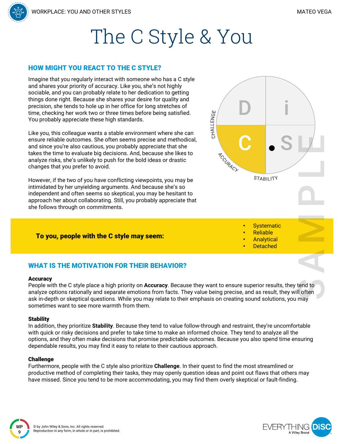

#### HOW MIGHT YOU REACT TO THE C STYLE?

Imagine that you regularly interact with someone who has a C style and shares your priority of accuracy. Like you, she's not highly sociable, and you can probably relate to her dedication to getting things done right. Because she shares your desire for quality and precision, she tends to hole up in her office for long stretches of time, checking her work two or three times before being satisfied. You probably appreciate these high standards.

Like you, this colleague wants a stable environment where she can ensure reliable outcomes. She often seems precise and methodical, and since you're also cautious, you probably appreciate that she takes the time to evaluate big decisions. And, because she likes to analyze risks, she's unlikely to push for the bold ideas or drastic changes that you prefer to avoid.

However, if the two of you have conflicting viewpoints, you may be intimidated by her unyielding arguments. And because she's so independent and often seems so skeptical, you may be hesitant to approach her about collaborating. Still, you probably appreciate that she follows through on commitments.

#### To you, people with the C style may seem:



- **Systematic**
- Reliable
- **Analytical**
- **Detached**

#### WHAT IS THE MOTIVATION FOR THEIR BEHAVIOR?

#### **Accuracy**

People with the C style place a high priority on **Accuracy**. Because they want to ensure superior results, they tend to analyze options rationally and separate emotions from facts. They value being precise, and as result, they will often ask in-depth or skeptical questions. While you may relate to their emphasis on creating sound solutions, you may sometimes want to see more warmth from them.

#### **Stability**

In addition, they prioritize **Stability**. Because they tend to value follow-through and restraint, they're uncomfortable with quick or risky decisions and prefer to take time to make an informed choice. They tend to analyze all the options, and they often make decisions that promise predictable outcomes. Because you also spend time ensuring dependable results, you may find it easy to relate to their cautious approach.

#### Challenge

Furthermore, people with the C style also prioritize **Challenge**. In their quest to find the most streamlined or productive method of completing their tasks, they may openly question ideas and point out flaws that others may have missed. Since you tend to be more accommodating, you may find them overly skeptical or fault-finding.

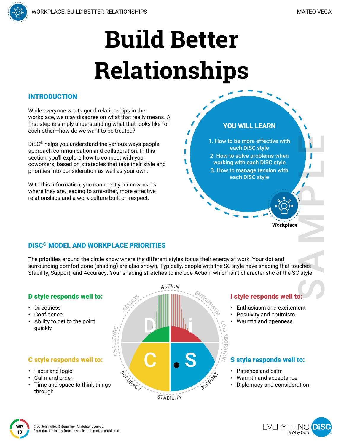**YOU WILL LEARN**

1. How to be more effective with each DiSC style 2. How to solve problems when working with each DiSC style 3. How to manage tension with each DiSC style

# **Build Better Relationships**

#### INTRODUCTION

While everyone wants good relationships in the workplace, we may disagree on what that really means. A first step is simply understanding what that looks like for each other—how do we want to be treated?

DiSC® helps you understand the various ways people approach communication and collaboration. In this section, you'll explore how to connect with your coworkers, based on strategies that take their style and priorities into consideration as well as your own.

With this information, you can meet your coworkers where they are, leading to smoother, more effective relationships and a work culture built on respect.

#### DiSC® MODEL AND WORKPLACE PRIORITIES

The priorities around the circle show where the different styles focus their energy at work. Your dot and surrounding comfort zone (shading) are also shown. Typically, people with the SC style have shading that touches Stability, Support, and Accuracy. Your shading stretches to include Action, which isn't characteristic of the SC style.

#### **ACTION** D style responds well to: i style responds well to: • Directness • Enthusiasm and excitement **Confidence** Positivity and optimism • Ability to get to the point • Warmth and openness quickly **HALLENG** S style responds well to: C style responds well to: ACCURACY • Facts and logic • Patience and calm • Calm and order • Warmth and acceptance Time and space to think things • Diplomacy and consideration through STABILITY

FVFRY I HINGE A Wiley Branc

Workplace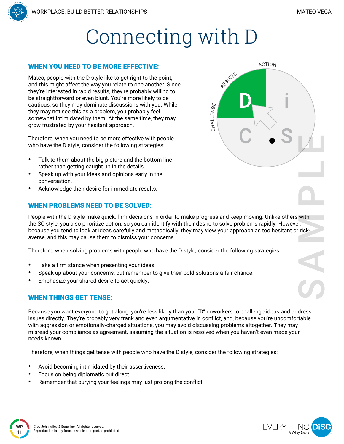**ACTION** 

RESULTS

CHALLENGE

## Connecting with D

#### WHEN YOU NEED TO BE MORE EFFECTIVE:

Mateo, people with the D style like to get right to the point, and this might affect the way you relate to one another. Since they're interested in rapid results, they're probably willing to be straightforward or even blunt. You're more likely to be cautious, so they may dominate discussions with you. While they may not see this as a problem, you probably feel somewhat intimidated by them. At the same time, they may grow frustrated by your hesitant approach.

Therefore, when you need to be more effective with people who have the D style, consider the following strategies:

- Talk to them about the big picture and the bottom line rather than getting caught up in the details.
- Speak up with your ideas and opinions early in the conversation.
- Acknowledge their desire for immediate results.

#### WHEN PROBLEMS NEED TO BE SOLVED:

People with the D style make quick, firm decisions in order to make progress and keep moving. Unlike others with the SC style, you also prioritize action, so you can identify with their desire to solve problems rapidly. However, because you tend to look at ideas carefully and methodically, they may view your approach as too hesitant or riskaverse, and this may cause them to dismiss your concerns.

Therefore, when solving problems with people who have the D style, consider the following strategies:

- Take a firm stance when presenting your ideas.
- Speak up about your concerns, but remember to give their bold solutions a fair chance.
- Emphasize your shared desire to act quickly.

#### WHEN THINGS GET TENSE:

Because you want everyone to get along, you're less likely than your "D" coworkers to challenge ideas and address issues directly. They're probably very frank and even argumentative in conflict, and, because you're uncomfortable with aggression or emotionally-charged situations, you may avoid discussing problems altogether. They may misread your compliance as agreement, assuming the situation is resolved when you haven't even made your needs known.

Therefore, when things get tense with people who have the D style, consider the following strategies:

- Avoid becoming intimidated by their assertiveness.
- Focus on being diplomatic but direct.
- Remember that burying your feelings may just prolong the conflict.



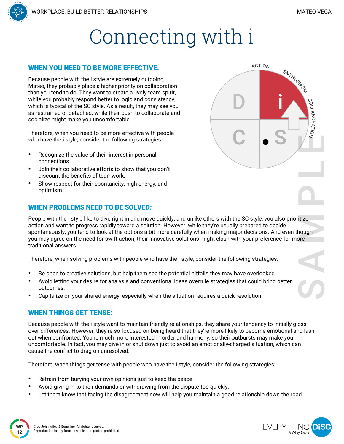COLLABORATION

ENTHUSA<sup>SA</sup>

**ACTION** 



#### WHEN YOU NEED TO BE MORE EFFECTIVE:

Because people with the i style are extremely outgoing, Mateo, they probably place a higher priority on collaboration than you tend to do. They want to create a lively team spirit, while you probably respond better to logic and consistency, which is typical of the SC style. As a result, they may see you as restrained or detached, while their push to collaborate and socialize might make you uncomfortable.

Therefore, when you need to be more effective with people who have the i style, consider the following strategies:

- Recognize the value of their interest in personal connections.
- Join their collaborative efforts to show that you don't discount the benefits of teamwork.
- Show respect for their spontaneity, high energy, and optimism.

#### WHEN PROBLEMS NEED TO BE SOLVED:

People with the i style like to dive right in and move quickly, and unlike others with the SC style, you also prioritize action and want to progress rapidly toward a solution. However, while they're usually prepared to decide spontaneously, you tend to look at the options a bit more carefully when making major decisions. And even though you may agree on the need for swift action, their innovative solutions might clash with your preference for more traditional answers.

Therefore, when solving problems with people who have the i style, consider the following strategies:

- Be open to creative solutions, but help them see the potential pitfalls they may have overlooked.
- Avoid letting your desire for analysis and conventional ideas overrule strategies that could bring better outcomes.
- Capitalize on your shared energy, especially when the situation requires a quick resolution.

#### WHEN THINGS GET TENSE:

Because people with the i style want to maintain friendly relationships, they share your tendency to initially gloss over differences. However, they're so focused on being heard that they're more likely to become emotional and lash out when confronted. You're much more interested in order and harmony, so their outbursts may make you uncomfortable. In fact, you may give in or shut down just to avoid an emotionally-charged situation, which can cause the conflict to drag on unresolved.

Therefore, when things get tense with people who have the i style, consider the following strategies:

- Refrain from burying your own opinions just to keep the peace.
- Avoid giving in to their demands or withdrawing from the dispute too quickly.
- Let them know that facing the disagreement now will help you maintain a good relationship down the road.

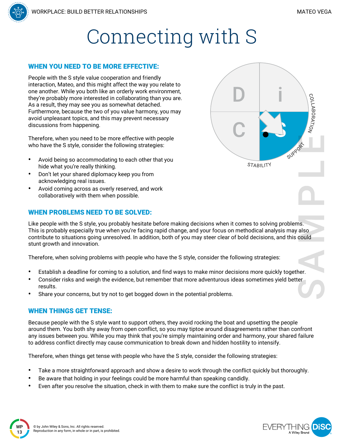### Connecting with S

#### WHEN YOU NEED TO BE MORE EFFECTIVE:

People with the S style value cooperation and friendly interaction, Mateo, and this might affect the way you relate to one another. While you both like an orderly work environment, they're probably more interested in collaborating than you are. As a result, they may see you as somewhat detached. Furthermore, because the two of you value harmony, you may avoid unpleasant topics, and this may prevent necessary discussions from happening.

Therefore, when you need to be more effective with people who have the S style, consider the following strategies:

- Avoid being so accommodating to each other that you hide what you're really thinking.
- Don't let your shared diplomacy keep you from acknowledging real issues.
- Avoid coming across as overly reserved, and work collaboratively with them when possible.

#### WHEN PROBLEMS NEED TO BE SOLVED:

Like people with the S style, you probably hesitate before making decisions when it comes to solving problems. This is probably especially true when you're facing rapid change, and your focus on methodical analysis may also contribute to situations going unresolved. In addition, both of you may steer clear of bold decisions, and this could stunt growth and innovation.

Therefore, when solving problems with people who have the S style, consider the following strategies:

- Establish a deadline for coming to a solution, and find ways to make minor decisions more quickly together.
- Consider risks and weigh the evidence, but remember that more adventurous ideas sometimes yield better results.
- Share your concerns, but try not to get bogged down in the potential problems.

#### WHEN THINGS GET TENSE:

Because people with the S style want to support others, they avoid rocking the boat and upsetting the people around them. You both shy away from open conflict, so you may tiptoe around disagreements rather than confront any issues between you. While you may think that you're simply maintaining order and harmony, your shared failure to address conflict directly may cause communication to break down and hidden hostility to intensify.

Therefore, when things get tense with people who have the S style, consider the following strategies:

- Take a more straightforward approach and show a desire to work through the conflict quickly but thoroughly.
- Be aware that holding in your feelings could be more harmful than speaking candidly.
- Even after you resolve the situation, check in with them to make sure the conflict is truly in the past.





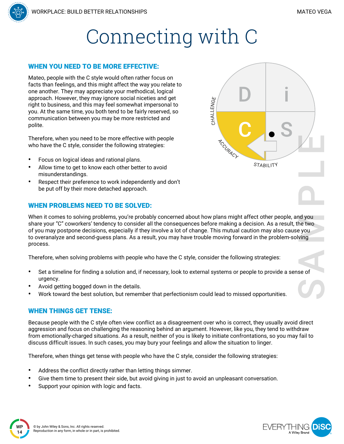

#### WHEN YOU NEED TO BE MORE EFFECTIVE:

Mateo, people with the C style would often rather focus on facts than feelings, and this might affect the way you relate to one another. They may appreciate your methodical, logical approach. However, they may ignore social niceties and get right to business, and this may feel somewhat impersonal to you. At the same time, you both tend to be fairly reserved, so communication between you may be more restricted and polite.

Therefore, when you need to be more effective with people who have the C style, consider the following strategies:

- Focus on logical ideas and rational plans.
- Allow time to get to know each other better to avoid misunderstandings.
- Respect their preference to work independently and don't be put off by their more detached approach.

#### WHEN PROBLEMS NEED TO BE SOLVED:



Therefore, when solving problems with people who have the C style, consider the following strategies:

- Set a timeline for finding a solution and, if necessary, look to external systems or people to provide a sense of urgency.
- Avoid getting bogged down in the details.
- Work toward the best solution, but remember that perfectionism could lead to missed opportunities.

#### WHEN THINGS GET TENSE:

Because people with the C style often view conflict as a disagreement over who is correct, they usually avoid direct aggression and focus on challenging the reasoning behind an argument. However, like you, they tend to withdraw from emotionally-charged situations. As a result, neither of you is likely to initiate confrontations, so you may fail to discuss difficult issues. In such cases, you may bury your feelings and allow the situation to linger.

Therefore, when things get tense with people who have the C style, consider the following strategies:

- Address the conflict directly rather than letting things simmer.
- Give them time to present their side, but avoid giving in just to avoid an unpleasant conversation.
- Support your opinion with logic and facts.



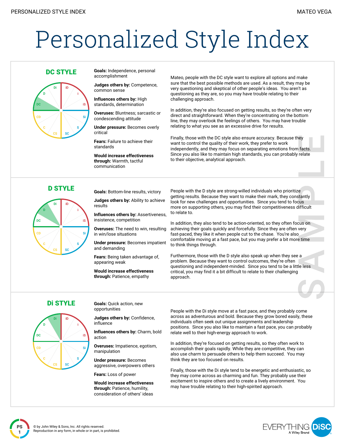# Personalized Style Index



**DC STYLE Goals:** Independence, personal accomplishment

> **Judges others by:** Competence, common sense

**Influences others by:** High standards, determination

**Overuses:** Bluntness; sarcastic or condescending attitude

**Under pressure:** Becomes overly critical

**Fears:** Failure to achieve their standards

**Would increase effectiveness through:** Warmth, tactful communication

Mateo, people with the DC style want to explore all options and make sure that the best possible methods are used. As a result, they may be very questioning and skeptical of other people's ideas. You aren't as questioning as they are, so you may have trouble relating to their challenging approach.

In addition, they're also focused on getting results, so they're often very direct and straightforward. When they're concentrating on the bottom line, they may overlook the feelings of others. You may have trouble relating to what you see as an excessive drive for results.

Finally, those with the DC style also ensure accuracy. Because they want to control the quality of their work, they prefer to work independently, and they may focus on separating emotions from facts. Since you also like to maintain high standards, you can probably relate to their objective, analytical approach.



**D STYLE Goals:** Bottom-line results, victory

**Judges others by:** Ability to achieve results

**Influences others by:** Assertiveness, insistence, competition

**Overuses:** The need to win, resulting in win/lose situations

**Under pressure:** Becomes impatient and demanding

**Fears:** Being taken advantage of, appearing weak

**Would increase effectiveness through:** Patience, empathy

People with the D style are strong-willed individuals who prioritize getting results. Because they want to make their mark, they constantly look for new challenges and opportunities. Since you tend to focus more on supporting others, you may find their competitiveness difficult to relate to.

In addition, they also tend to be action-oriented, so they often focus on achieving their goals quickly and forcefully. Since they are often very fast-paced, they like it when people cut to the chase. You're also comfortable moving at a fast pace, but you may prefer a bit more time to think things through.

Furthermore, those with the D style also speak up when they see a problem. Because they want to control outcomes, they're often questioning and independent-minded. Since you tend to be a little less critical, you may find it a bit difficult to relate to their challenging approach.



**Di STYLE Goals:** Ouick action, new opportunities

> **Judges others by:** Confidence, influence

**Influences others by:** Charm, bold action

**Overuses:** Impatience, egotism, manipulation

**Under pressure:** Becomes aggressive, overpowers others

**Fears:** Loss of power

**Would increase effectiveness through:** Patience, humility, consideration of others' ideas

People with the Di style move at a fast pace, and they probably come across as adventurous and bold. Because they grow bored easily, these individuals often seek out unique assignments and leadership positions. Since you also like to maintain a fast pace, you can probably relate well to their high-energy approach to work.

In addition, they're focused on getting results, so they often work to accomplish their goals rapidly. While they are competitive, they can also use charm to persuade others to help them succeed. You may think they are too focused on results.

Finally, those with the Di style tend to be energetic and enthusiastic, so they may come across as charming and fun. They probably use their excitement to inspire others and to create a lively environment. You may have trouble relating to their high-spirited approach.

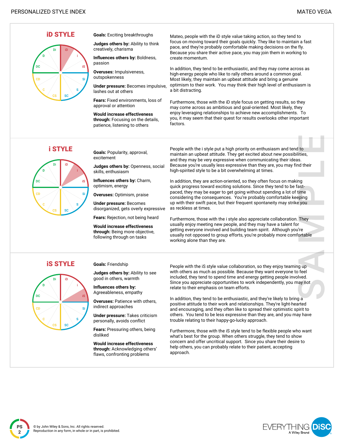

**Judges others by:** Ability to think

**Influences others by:** Boldness,

**Overuses:** Impulsiveness,

**Under pressure:** Becomes impulsive,

**Fears:** Fixed environments, loss of approval or attention

**Would increase effectiveness through:** Focusing on the details, patience, listening to others

Mateo, people with the iD style value taking action, so they tend to focus on moving toward their goals quickly. They like to maintain a fast pace, and they're probably comfortable making decisions on the fly. Because you share their active pace, you may join them in working to create momentum.

In addition, they tend to be enthusiastic, and they may come across as high-energy people who like to rally others around a common goal. Most likely, they maintain an upbeat attitude and bring a genuine optimism to their work. You may think their high level of enthusiasm is a bit distracting.

Furthermore, those with the iD style focus on getting results, so they may come across as ambitious and goal-oriented. Most likely, they enjoy leveraging relationships to achieve new accomplishments. To you, it may seem that their quest for results overlooks other important factors.



**i STYLE Goals: Popularity, approval,** excitement

> **Judges others by:** Openness, social skills, enthusiasm

**Influences others by:** Charm, optimism, energy

**Overuses:** Optimism, praise

**Under pressure:** Becomes disorganized, gets overly expressive

**Fears:** Rejection, not being heard

**Would increase effectiveness through:** Being more objective, following through on tasks

People with the i style put a high priority on enthusiasm and tend to maintain an upbeat attitude. They get excited about new possibilities, and they may be very expressive when communicating their ideas. Because you're usually less expressive than they are, you may find their high-spirited style to be a bit overwhelming at times.

In addition, they are action-oriented, so they often focus on making quick progress toward exciting solutions. Since they tend to be fastpaced, they may be eager to get going without spending a lot of time considering the consequences. You're probably comfortable keeping up with their swift pace, but their frequent spontaneity may strike you as reckless at times.

Furthermore, those with the i style also appreciate collaboration. They usually enjoy meeting new people, and they may have a talent for getting everyone involved and building team spirit. Although you're usually not opposed to group efforts, you're probably more comfortable working alone than they are.

**iS STYLE Goals: Friendship** 

**Judges others by:** Ability to see good in others, warmth

**Influences others by:** Agreeableness, empathy

**Overuses:** Patience with others, indirect approaches

**Under pressure:** Takes criticism personally, avoids conflict

**Fears:** Pressuring others, being disliked

**Would increase effectiveness through:** Acknowledging others' flaws, confronting problems

People with the iS style value collaboration, so they enjoy teaming up with others as much as possible. Because they want everyone to feel included, they tend to spend time and energy getting people involved. Since you appreciate opportunities to work independently, you may not relate to their emphasis on team efforts.

In addition, they tend to be enthusiastic, and they're likely to bring a positive attitude to their work and relationships. They're light-hearted and encouraging, and they often like to spread their optimistic spirit to others. You tend to be less expressive than they are, and you may have trouble relating to their happy-go-lucky approach.

Furthermore, those with the iS style tend to be flexible people who want what's best for the group. When others struggle, they tend to show concern and offer uncritical support. Since you share their desire to help others, you can probably relate to their patient, accepting approach.

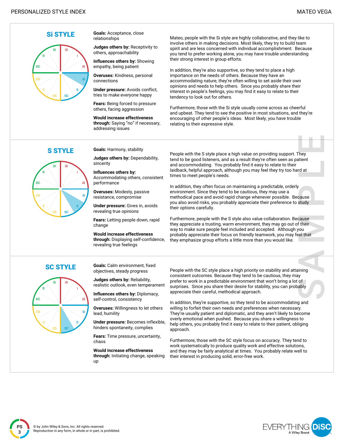

**Si STYLE Goals:** Acceptance, close relationships

> **Judges others by:** Receptivity to others, approachability

**Influences others by:** Showing empathy, being patient

**Overuses:** Kindness, personal connections

**Under pressure:** Avoids conflict, tries to make everyone happy

**Fears:** Being forced to pressure others, facing aggression

**Would increase effectiveness through:** Saying "no" if necessary, addressing issues

Mateo, people with the Si style are highly collaborative, and they like to involve others in making decisions. Most likely, they try to build team spirit and are less concerned with individual accomplishment. Because you tend to prefer working alone, you may have trouble understanding their strong interest in group efforts.

In addition, they're also supportive, so they tend to place a high importance on the needs of others. Because they have an accommodating nature, they're often willing to set aside their own opinions and needs to help others. Since you probably share their interest in people's feelings, you may find it easy to relate to their tendency to look out for others.

Furthermore, those with the Si style usually come across as cheerful and upbeat. They tend to see the positive in most situations, and they're encouraging of other people's ideas. Most likely, you have trouble relating to their expressive style.



**S STYLE** Goals: Harmony, stability

**Judges others by:** Dependability, sincerity

**Influences others by:** Accommodating others, consistent performance

**Overuses:** Modesty, passive resistance, compromise

**Under pressure:** Gives in, avoids revealing true opinions

**Fears:** Letting people down, rapid change

**Would increase effectiveness through:** Displaying self-confidence, revealing true feelings

People with the S style place a high value on providing support. They tend to be good listeners, and as a result they're often seen as patient and accommodating. You probably find it easy to relate to their laidback, helpful approach, although you may feel they try too hard at times to meet people's needs.

In addition, they often focus on maintaining a predictable, orderly environment. Since they tend to be cautious, they may use a methodical pace and avoid rapid change whenever possible. Because you also avoid risks, you probably appreciate their preference to study their options carefully.

Furthermore, people with the S style also value collaboration. Because they appreciate a trusting, warm environment, they may go out of their way to make sure people feel included and accepted. Although you probably appreciate their focus on friendly teamwork, you may feel that they emphasize group efforts a little more than you would like.



**SC STYLE Goals:** Calm environment, fixed objectives, steady progress

> **Judges others by:** Reliability, realistic outlook, even temperament

**Influences others by:** Diplomacy, self-control, consistency

**Overuses:** Willingness to let others lead, humility

**Under pressure:** Becomes inflexible, hinders spontaneity, complies

**Fears:** Time pressure, uncertainty, chaos

**Would increase effectiveness through:** Initiating change, speaking up

People with the SC style place a high priority on stability and attaining consistent outcomes. Because they tend to be cautious, they may prefer to work in a predictable environment that won't bring a lot of surprises. Since you share their desire for stability, you can probably appreciate their careful, methodical approach.

In addition, they're supportive, so they tend to be accommodating and willing to forfeit their own needs and preferences when necessary. They're usually patient and diplomatic, and they aren't likely to become overly emotional when pushed. Because you share a willingness to help others, you probably find it easy to relate to their patient, obliging approach.

Furthermore, those with the SC style focus on accuracy. They tend to work systematically to produce quality work and effective solutions, and they may be fairly analytical at times. You probably relate well to their interest in producing solid, error-free work.